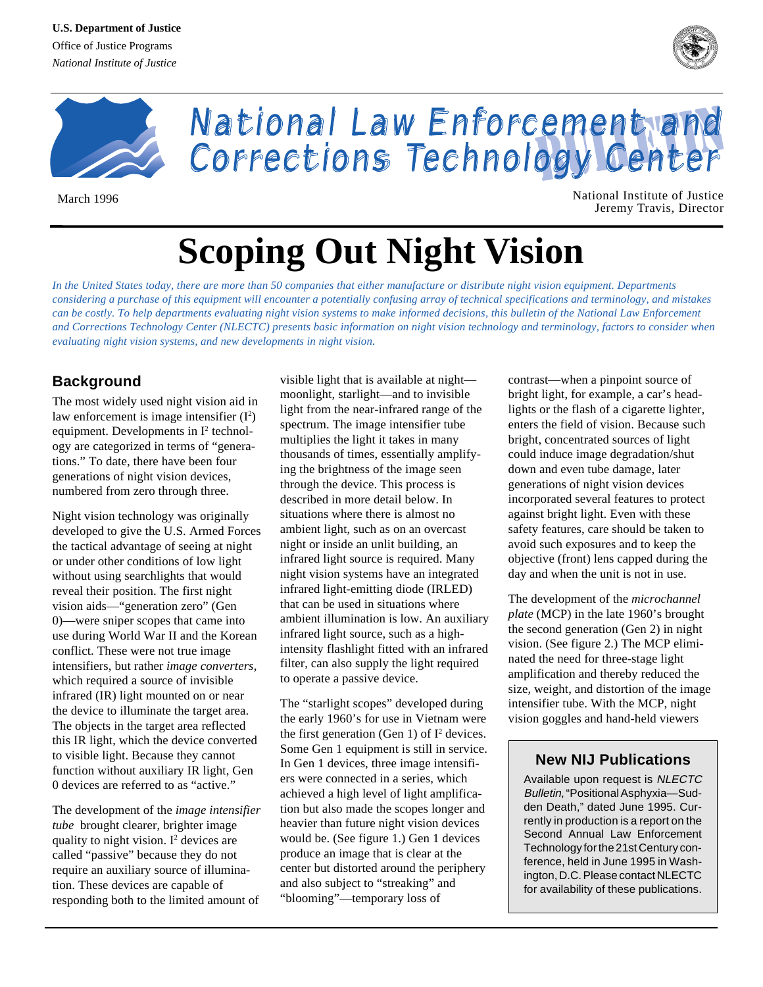



National Law Enforcement and Corrections Technology Center

March 1996 **National Institute of Justice** National Institute of Justice Jeremy Travis, Director

# **Scoping Out Night Vision**

*In the United States today, there are more than 50 companies that either manufacture or distribute night vision equipment. Departments considering a purchase of this equipment will encounter a potentially confusing array of technical specifications and terminology, and mistakes can be costly. To help departments evaluating night vision systems to make informed decisions, this bulletin of the National Law Enforcement and Corrections Technology Center (NLECTC) presents basic information on night vision technology and terminology, factors to consider when evaluating night vision systems, and new developments in night vision*.

# **Background**

The most widely used night vision aid in law enforcement is image intensifier  $(I^2)$ equipment. Developments in  $I^2$  technology are categorized in terms of "generations." To date, there have been four generations of night vision devices, numbered from zero through three.

Night vision technology was originally developed to give the U.S. Armed Forces the tactical advantage of seeing at night or under other conditions of low light without using searchlights that would reveal their position. The first night vision aids—"generation zero" (Gen 0)—were sniper scopes that came into use during World War II and the Korean conflict. These were not true image intensifiers, but rather *image converters*, which required a source of invisible infrared (IR) light mounted on or near the device to illuminate the target area. The objects in the target area reflected this IR light, which the device converted to visible light. Because they cannot function without auxiliary IR light, Gen 0 devices are referred to as "active."

The development of the *image intensifier tube* brought clearer, brighter image quality to night vision.  $I^2$  devices are called "passive" because they do not require an auxiliary source of illumination. These devices are capable of responding both to the limited amount of visible light that is available at night moonlight, starlight—and to invisible light from the near-infrared range of the spectrum. The image intensifier tube multiplies the light it takes in many thousands of times, essentially amplifying the brightness of the image seen through the device. This process is described in more detail below. In situations where there is almost no ambient light, such as on an overcast night or inside an unlit building, an infrared light source is required. Many night vision systems have an integrated infrared light-emitting diode (IRLED) that can be used in situations where ambient illumination is low. An auxiliary infrared light source, such as a highintensity flashlight fitted with an infrared filter, can also supply the light required to operate a passive device.

The "starlight scopes" developed during the early 1960's for use in Vietnam were the first generation (Gen 1) of  $I^2$  devices. Some Gen 1 equipment is still in service. In Gen 1 devices, three image intensifiers were connected in a series, which achieved a high level of light amplification but also made the scopes longer and heavier than future night vision devices would be. (See figure 1.) Gen 1 devices produce an image that is clear at the center but distorted around the periphery and also subject to "streaking" and "blooming"—temporary loss of

contrast—when a pinpoint source of bright light, for example, a car's headlights or the flash of a cigarette lighter, enters the field of vision. Because such bright, concentrated sources of light could induce image degradation/shut down and even tube damage, later generations of night vision devices incorporated several features to protect against bright light. Even with these safety features, care should be taken to avoid such exposures and to keep the objective (front) lens capped during the day and when the unit is not in use.

The development of the *microchannel plate* (MCP) in the late 1960's brought the second generation (Gen 2) in night vision. (See figure 2.) The MCP eliminated the need for three-stage light amplification and thereby reduced the size, weight, and distortion of the image intensifier tube. With the MCP, night vision goggles and hand-held viewers

# **New NIJ Publications**

Available upon request is NLECTC Bulletin, "Positional Asphyxia—Sudden Death," dated June 1995. Currently in production is a report on the Second Annual Law Enforcement Technology for the 21st Century conference, held in June 1995 in Washington, D.C. Please contact NLECTC for availability of these publications.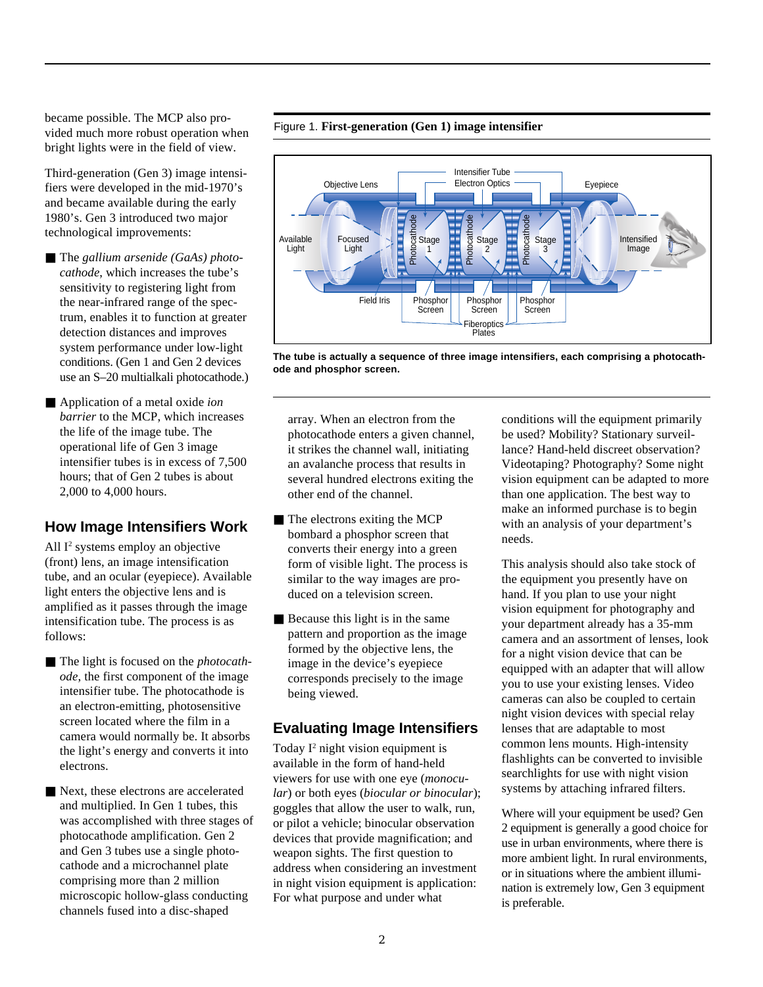became possible. The MCP also provided much more robust operation when bright lights were in the field of view.

Third-generation (Gen 3) image intensifiers were developed in the mid-1970's and became available during the early 1980's. Gen 3 introduced two major technological improvements:

- The *gallium arsenide (GaAs)* photo*cathode*, which increases the tube's sensitivity to registering light from the near-infrared range of the spectrum, enables it to function at greater detection distances and improves system performance under low-light conditions. (Gen 1 and Gen 2 devices use an S–20 multialkali photocathode.)
- Application of a metal oxide *ion barrier* to the MCP, which increases the life of the image tube. The operational life of Gen 3 image intensifier tubes is in excess of 7,500 hours; that of Gen 2 tubes is about 2,000 to 4,000 hours.

## **How Image Intensifiers Work**

All I<sup>2</sup> systems employ an objective (front) lens, an image intensification tube, and an ocular (eyepiece). Available light enters the objective lens and is amplified as it passes through the image intensification tube. The process is as follows:

- The light is focused on the *photocath ode*, the first component of the image intensifier tube. The photocathode is an electron-emitting, photosensitive screen located where the film in a camera would normally be. It absorbs the light's energy and converts it into electrons.
- Next, these electrons are accelerated and multiplied. In Gen 1 tubes, this was accomplished with three stages of photocathode amplification. Gen 2 and Gen 3 tubes use a single photocathode and a microchannel plate comprising more than 2 million microscopic hollow-glass conducting channels fused into a disc-shaped



**The tube is actually a sequence of three image intensifiers, each comprising a photocathode and phosphor screen.**

array. When an electron from the photocathode enters a given channel, it strikes the channel wall, initiating an avalanche process that results in several hundred electrons exiting the other end of the channel.

Figure 1. **First-generation (Gen 1) image intensifier**

- The electrons exiting the MCP bombard a phosphor screen that converts their energy into a green form of visible light. The process is similar to the way images are produced on a television screen.
- Because this light is in the same pattern and proportion as the image formed by the objective lens, the image in the device's eyepiece corresponds precisely to the image being viewed.

## **Evaluating Image Intensifiers**

Today  $I^2$  night vision equipment is available in the form of hand-held viewers for use with one eye (*monocular*) or both eyes (*biocular or binocular*); goggles that allow the user to walk, run, or pilot a vehicle; binocular observation devices that provide magnification; and weapon sights. The first question to address when considering an investment in night vision equipment is application: For what purpose and under what

conditions will the equipment primarily be used? Mobility? Stationary surveillance? Hand-held discreet observation? Videotaping? Photography? Some night vision equipment can be adapted to more than one application. The best way to make an informed purchase is to begin with an analysis of your department's needs.

This analysis should also take stock of the equipment you presently have on hand. If you plan to use your night vision equipment for photography and your department already has a 35-mm camera and an assortment of lenses, look for a night vision device that can be equipped with an adapter that will allow you to use your existing lenses. Video cameras can also be coupled to certain night vision devices with special relay lenses that are adaptable to most common lens mounts. High-intensity flashlights can be converted to invisible searchlights for use with night vision systems by attaching infrared filters.

Where will your equipment be used? Gen 2 equipment is generally a good choice for use in urban environments, where there is more ambient light. In rural environments, or in situations where the ambient illumination is extremely low, Gen 3 equipment is preferable.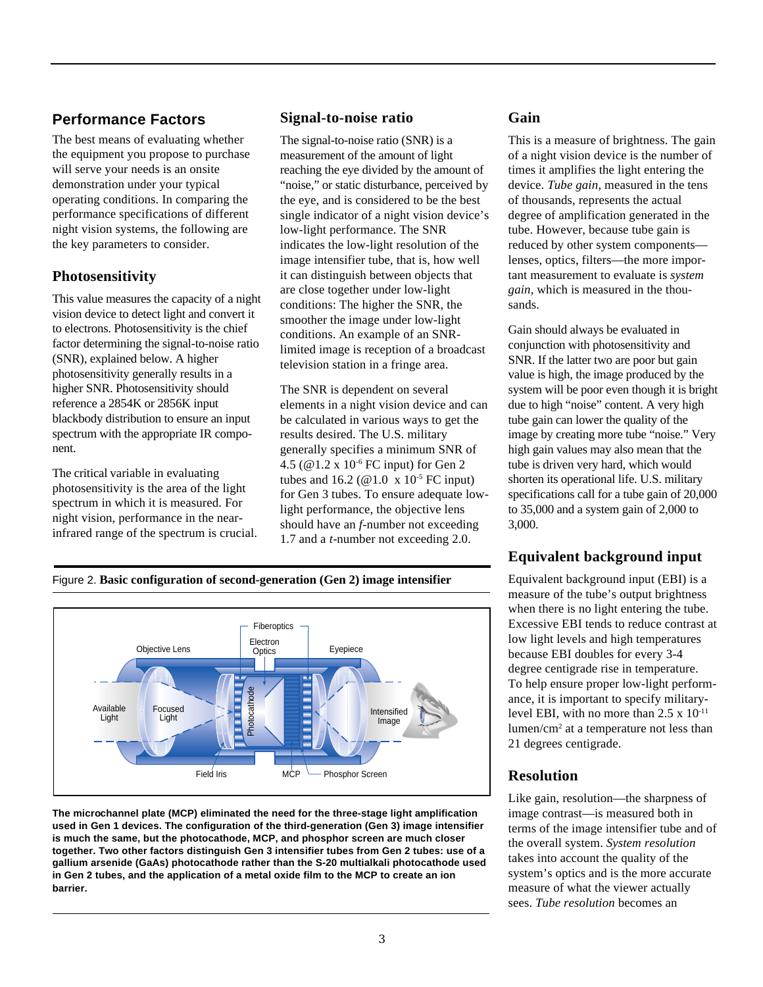# **Performance Factors**

The best means of evaluating whether the equipment you propose to purchase will serve your needs is an onsite demonstration under your typical operating conditions. In comparing the performance specifications of different night vision systems, the following are the key parameters to consider.

## **Photosensitivity**

This value measures the capacity of a night vision device to detect light and convert it to electrons. Photosensitivity is the chief factor determining the signal-to-noise ratio (SNR), explained below. A higher photosensitivity generally results in a higher SNR. Photosensitivity should reference a 2854K or 2856K input blackbody distribution to ensure an input spectrum with the appropriate IR component.

The critical variable in evaluating photosensitivity is the area of the light spectrum in which it is measured. For night vision, performance in the nearinfrared range of the spectrum is crucial.

## **Signal-to-noise ratio**

The signal-to-noise ratio (SNR) is a measurement of the amount of light reaching the eye divided by the amount of "noise," or static disturbance, perceived by the eye, and is considered to be the best single indicator of a night vision device's low-light performance. The SNR indicates the low-light resolution of the image intensifier tube, that is, how well it can distinguish between objects that are close together under low-light conditions: The higher the SNR, the smoother the image under low-light conditions. An example of an SNRlimited image is reception of a broadcast television station in a fringe area.

The SNR is dependent on several elements in a night vision device and can be calculated in various ways to get the results desired. The U.S. military generally specifies a minimum SNR of 4.5 (@1.2 x 10-6 FC input) for Gen 2 tubes and 16.2 ( $@1.0 \times 10^{-5}$  FC input) for Gen 3 tubes. To ensure adequate lowlight performance, the objective lens should have an *f-*number not exceeding 1.7 and a *t-*number not exceeding 2.0.



This is a measure of brightness. The gain of a night vision device is the number of times it amplifies the light entering the device. *Tube gain*, measured in the tens of thousands, represents the actual degree of amplification generated in the tube. However, because tube gain is reduced by other system components lenses, optics, filters—the more important measurement to evaluate is *system gain*, which is measured in the thousands.

Gain should always be evaluated in conjunction with photosensitivity and SNR. If the latter two are poor but gain value is high, the image produced by the system will be poor even though it is bright due to high "noise" content. A very high tube gain can lower the quality of the image by creating more tube "noise." Very high gain values may also mean that the tube is driven very hard, which would shorten its operational life. U.S. military specifications call for a tube gain of 20,000 to 35,000 and a system gain of 2,000 to 3,000.

# **Equivalent background input**

Equivalent background input (EBI) is a measure of the tube's output brightness when there is no light entering the tube. Excessive EBI tends to reduce contrast at low light levels and high temperatures because EBI doubles for every 3-4 degree centigrade rise in temperature. To help ensure proper low-light performance, it is important to specify militarylevel EBI, with no more than  $2.5 \times 10^{-11}$ lumen/cm<sup>2</sup> at a temperature not less than 21 degrees centigrade.

## **Resolution**

Like gain, resolution—the sharpness of image contrast—is measured both in terms of the image intensifier tube and of the overall system. *System resolution* takes into account the quality of the system's optics and is the more accurate measure of what the viewer actually sees. *Tube resolution* becomes an



Figure 2. **Basic configuration of second-generation (Gen 2) image intensifier**

**The microchannel plate (MCP) eliminated the need for the three-stage light amplification used in Gen 1 devices. The configuration of the third-generation (Gen 3) image intensifier is much the same, but the photocathode, MCP, and phosphor screen are much closer together. Two other factors distinguish Gen 3 intensifier tubes from Gen 2 tubes: use of a gallium arsenide (GaAs) photocathode rather than the S-20 multialkali photocathode used in Gen 2 tubes, and the application of a metal oxide film to the MCP to create an ion barrier.**

MCP Phosphor Screen

Field Iris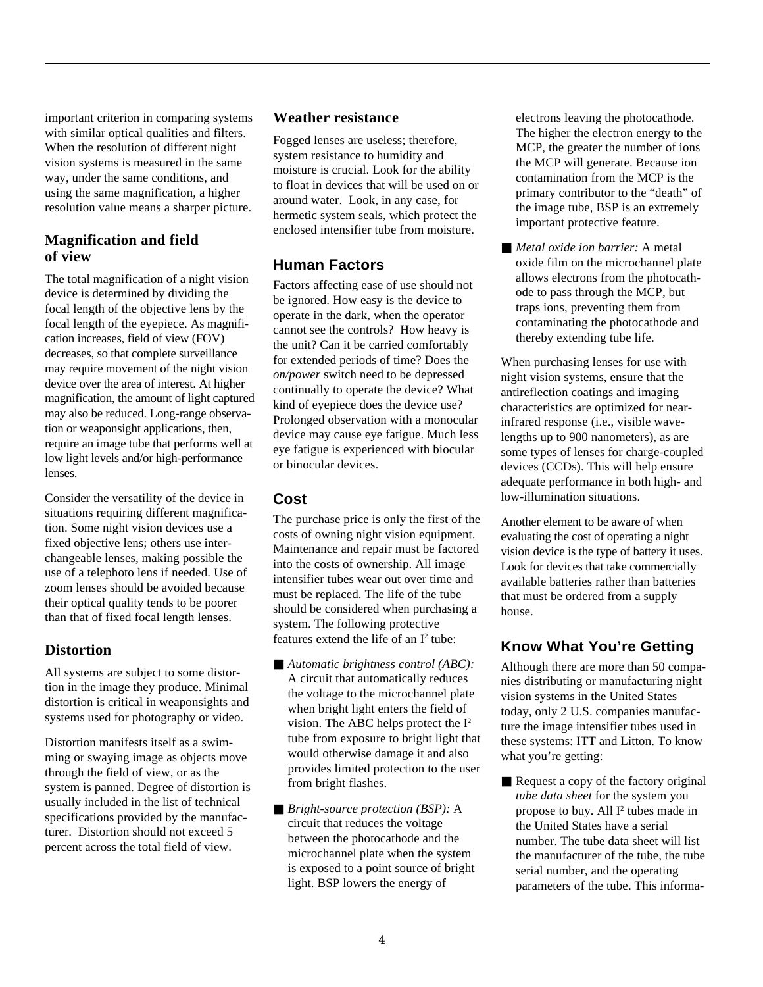important criterion in comparing systems with similar optical qualities and filters. When the resolution of different night vision systems is measured in the same way, under the same conditions, and using the same magnification, a higher resolution value means a sharper picture.

## **Magnification and field of view**

The total magnification of a night vision device is determined by dividing the focal length of the objective lens by the focal length of the eyepiece. As magnification increases, field of view (FOV) decreases, so that complete surveillance may require movement of the night vision device over the area of interest. At higher magnification, the amount of light captured may also be reduced. Long-range observation or weaponsight applications, then, require an image tube that performs well at low light levels and/or high-performance lenses.

Consider the versatility of the device in situations requiring different magnification. Some night vision devices use a fixed objective lens; others use interchangeable lenses, making possible the use of a telephoto lens if needed. Use of zoom lenses should be avoided because their optical quality tends to be poorer than that of fixed focal length lenses.

## **Distortion**

All systems are subject to some distortion in the image they produce. Minimal distortion is critical in weaponsights and systems used for photography or video.

Distortion manifests itself as a swimming or swaying image as objects move through the field of view, or as the system is panned. Degree of distortion is usually included in the list of technical specifications provided by the manufacturer. Distortion should not exceed 5 percent across the total field of view.

#### **Weather resistance**

Fogged lenses are useless; therefore, system resistance to humidity and moisture is crucial. Look for the ability to float in devices that will be used on or around water. Look, in any case, for hermetic system seals, which protect the enclosed intensifier tube from moisture.

## **Human Factors**

Factors affecting ease of use should not be ignored. How easy is the device to operate in the dark, when the operator cannot see the controls? How heavy is the unit? Can it be carried comfortably for extended periods of time? Does the *on/power* switch need to be depressed continually to operate the device? What kind of eyepiece does the device use? Prolonged observation with a monocular device may cause eye fatigue. Much less eye fatigue is experienced with biocular or binocular devices.

## **Cost**

The purchase price is only the first of the costs of owning night vision equipment. Maintenance and repair must be factored into the costs of ownership. All image intensifier tubes wear out over time and must be replaced. The life of the tube should be considered when purchasing a system. The following protective features extend the life of an  $I<sup>2</sup>$  tube:

- *Automatic brightness control (ABC)*: A circuit that automatically reduces the voltage to the microchannel plate when bright light enters the field of vision. The ABC helps protect the I2 tube from exposure to bright light that would otherwise damage it and also provides limited protection to the user from bright flashes.
- *Bright-source protection (BSP)*: A circuit that reduces the voltage between the photocathode and the microchannel plate when the system is exposed to a point source of bright light. BSP lowers the energy of

electrons leaving the photocathode. The higher the electron energy to the MCP, the greater the number of ions the MCP will generate. Because ion contamination from the MCP is the primary contributor to the "death" of the image tube, BSP is an extremely important protective feature.

■ *Metal oxide ion barrier:* A metal oxide film on the microchannel plate allows electrons from the photocathode to pass through the MCP, but traps ions, preventing them from contaminating the photocathode and thereby extending tube life.

When purchasing lenses for use with night vision systems, ensure that the antireflection coatings and imaging characteristics are optimized for nearinfrared response (i.e., visible wavelengths up to 900 nanometers), as are some types of lenses for charge-coupled devices (CCDs). This will help ensure adequate performance in both high- and low-illumination situations.

Another element to be aware of when evaluating the cost of operating a night vision device is the type of battery it uses. Look for devices that take commercially available batteries rather than batteries that must be ordered from a supply house.

# **Know What You're Getting**

Although there are more than 50 companies distributing or manufacturing night vision systems in the United States today, only 2 U.S. companies manufacture the image intensifier tubes used in these systems: ITT and Litton. To know what you're getting:

■ Request a copy of the factory original *tube data sheet* for the system you propose to buy. All  $I^2$  tubes made in the United States have a serial number. The tube data sheet will list the manufacturer of the tube, the tube serial number, and the operating parameters of the tube. This informa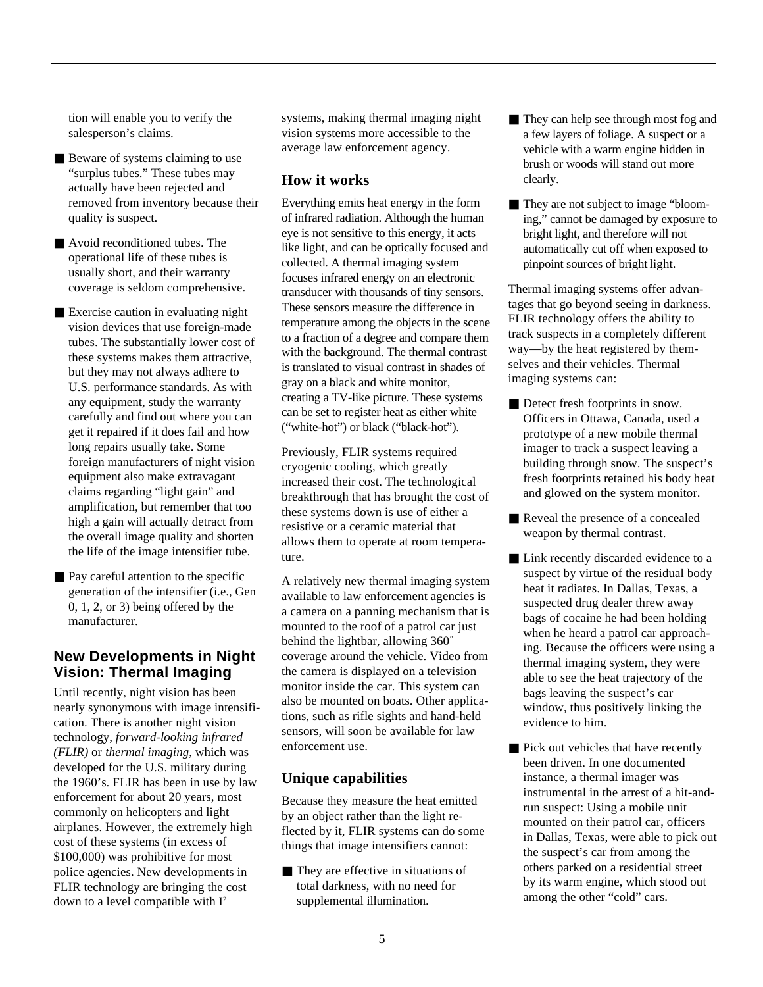tion will enable you to verify the salesperson's claims.

- Beware of systems claiming to use "surplus tubes." These tubes may actually have been rejected and removed from inventory because their quality is suspect.
- Avoid reconditioned tubes. The operational life of these tubes is usually short, and their warranty coverage is seldom comprehensive.
- Exercise caution in evaluating night vision devices that use foreign-made tubes. The substantially lower cost of these systems makes them attractive, but they may not always adhere to U.S. performance standards. As with any equipment, study the warranty carefully and find out where you can get it repaired if it does fail and how long repairs usually take. Some foreign manufacturers of night vision equipment also make extravagant claims regarding "light gain" and amplification, but remember that too high a gain will actually detract from the overall image quality and shorten the life of the image intensifier tube.
- Pay careful attention to the specific generation of the intensifier (i.e., Gen 0, 1, 2, or 3) being offered by the manufacturer.

### **New Developments in Night Vision: Thermal Imaging**

Until recently, night vision has been nearly synonymous with image intensification. There is another night vision technology, *forward-looking infrared (FLIR)* or *thermal imaging*, which was developed for the U.S. military during the 1960's. FLIR has been in use by law enforcement for about 20 years, most commonly on helicopters and light airplanes. However, the extremely high cost of these systems (in excess of \$100,000) was prohibitive for most police agencies. New developments in FLIR technology are bringing the cost down to a level compatible with  $I^2$ 

systems, making thermal imaging night vision systems more accessible to the average law enforcement agency.

#### **How it works**

Everything emits heat energy in the form of infrared radiation. Although the human eye is not sensitive to this energy, it acts like light, and can be optically focused and collected. A thermal imaging system focuses infrared energy on an electronic transducer with thousands of tiny sensors. These sensors measure the difference in temperature among the objects in the scene to a fraction of a degree and compare them with the background. The thermal contrast is translated to visual contrast in shades of gray on a black and white monitor, creating a TV-like picture. These systems can be set to register heat as either white ("white-hot") or black ("black-hot").

Previously, FLIR systems required cryogenic cooling, which greatly increased their cost. The technological breakthrough that has brought the cost of these systems down is use of either a resistive or a ceramic material that allows them to operate at room temperature.

A relatively new thermal imaging system available to law enforcement agencies is a camera on a panning mechanism that is mounted to the roof of a patrol car just behind the lightbar, allowing 360˚ coverage around the vehicle. Video from the camera is displayed on a television monitor inside the car. This system can also be mounted on boats. Other applications, such as rifle sights and hand-held sensors, will soon be available for law enforcement use.

#### **Unique capabilities**

Because they measure the heat emitted by an object rather than the light reflected by it, FLIR systems can do some things that image intensifiers cannot:

■ They are effective in situations of total darkness, with no need for supplemental illumination.

- They can help see through most fog and a few layers of foliage. A suspect or a vehicle with a warm engine hidden in brush or woods will stand out more clearly.
- They are not subject to image "blooming," cannot be damaged by exposure to bright light, and therefore will not automatically cut off when exposed to pinpoint sources of bright light.

Thermal imaging systems offer advantages that go beyond seeing in darkness. FLIR technology offers the ability to track suspects in a completely different way—by the heat registered by themselves and their vehicles. Thermal imaging systems can:

- Detect fresh footprints in snow. Officers in Ottawa, Canada, used a prototype of a new mobile thermal imager to track a suspect leaving a building through snow. The suspect's fresh footprints retained his body heat and glowed on the system monitor.
- Reveal the presence of a concealed weapon by thermal contrast.
- Link recently discarded evidence to a suspect by virtue of the residual body heat it radiates. In Dallas, Texas, a suspected drug dealer threw away bags of cocaine he had been holding when he heard a patrol car approaching. Because the officers were using a thermal imaging system, they were able to see the heat trajectory of the bags leaving the suspect's car window, thus positively linking the evidence to him.
- Pick out vehicles that have recently been driven. In one documented instance, a thermal imager was instrumental in the arrest of a hit-andrun suspect: Using a mobile unit mounted on their patrol car, officers in Dallas, Texas, were able to pick out the suspect's car from among the others parked on a residential street by its warm engine, which stood out among the other "cold" cars.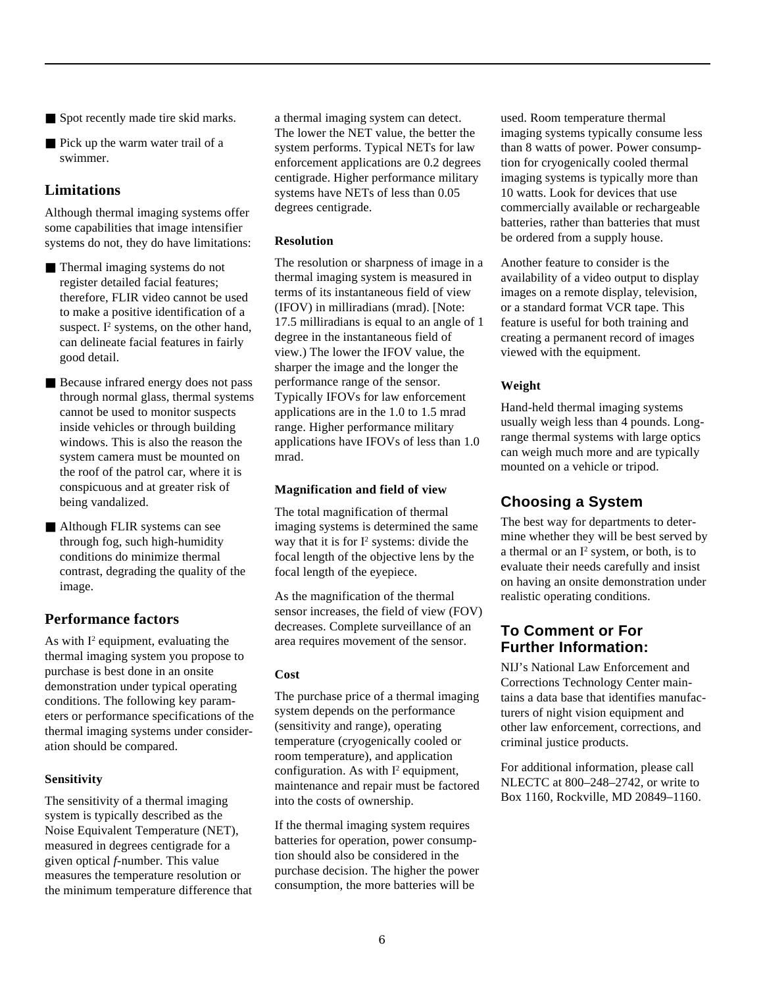- Spot recently made tire skid marks.
- Pick up the warm water trail of a swimmer.

## **Limitations**

Although thermal imaging systems offer some capabilities that image intensifier systems do not, they do have limitations:

- Thermal imaging systems do not register detailed facial features; therefore, FLIR video cannot be used to make a positive identification of a suspect.  $I^2$  systems, on the other hand, can delineate facial features in fairly good detail.
- Because infrared energy does not pass through normal glass, thermal systems cannot be used to monitor suspects inside vehicles or through building windows. This is also the reason the system camera must be mounted on the roof of the patrol car, where it is conspicuous and at greater risk of being vandalized.
- Although FLIR systems can see through fog, such high-humidity conditions do minimize thermal contrast, degrading the quality of the image.

## **Performance factors**

As with  $I^2$  equipment, evaluating the thermal imaging system you propose to purchase is best done in an onsite demonstration under typical operating conditions. The following key parameters or performance specifications of the thermal imaging systems under consideration should be compared.

#### **Sensitivity**

The sensitivity of a thermal imaging system is typically described as the Noise Equivalent Temperature (NET), measured in degrees centigrade for a given optical *f-*number. This value measures the temperature resolution or the minimum temperature difference that a thermal imaging system can detect. The lower the NET value, the better the system performs. Typical NETs for law enforcement applications are 0.2 degrees centigrade. Higher performance military systems have NETs of less than 0.05 degrees centigrade.

#### **Resolution**

The resolution or sharpness of image in a thermal imaging system is measured in terms of its instantaneous field of view (IFOV) in milliradians (mrad). [Note: 17.5 milliradians is equal to an angle of 1 degree in the instantaneous field of view.) The lower the IFOV value, the sharper the image and the longer the performance range of the sensor. Typically IFOVs for law enforcement applications are in the 1.0 to 1.5 mrad range. Higher performance military applications have IFOVs of less than 1.0 mrad.

#### **Magnification and field of view**

The total magnification of thermal imaging systems is determined the same way that it is for  $I^2$  systems: divide the focal length of the objective lens by the focal length of the eyepiece.

As the magnification of the thermal sensor increases, the field of view (FOV) decreases. Complete surveillance of an area requires movement of the sensor.

#### **Cost**

The purchase price of a thermal imaging system depends on the performance (sensitivity and range), operating temperature (cryogenically cooled or room temperature), and application configuration. As with  $I^2$  equipment, maintenance and repair must be factored into the costs of ownership.

If the thermal imaging system requires batteries for operation, power consumption should also be considered in the purchase decision. The higher the power consumption, the more batteries will be

used. Room temperature thermal imaging systems typically consume less than 8 watts of power. Power consumption for cryogenically cooled thermal imaging systems is typically more than 10 watts. Look for devices that use commercially available or rechargeable batteries, rather than batteries that must be ordered from a supply house.

Another feature to consider is the availability of a video output to display images on a remote display, television, or a standard format VCR tape. This feature is useful for both training and creating a permanent record of images viewed with the equipment.

#### **Weight**

Hand-held thermal imaging systems usually weigh less than 4 pounds. Longrange thermal systems with large optics can weigh much more and are typically mounted on a vehicle or tripod.

# **Choosing a System**

The best way for departments to determine whether they will be best served by a thermal or an  $I^2$  system, or both, is to evaluate their needs carefully and insist on having an onsite demonstration under realistic operating conditions.

## **To Comment or For Further Information:**

NIJ's National Law Enforcement and Corrections Technology Center maintains a data base that identifies manufacturers of night vision equipment and other law enforcement, corrections, and criminal justice products.

For additional information, please call NLECTC at 800–248–2742, or write to Box 1160, Rockville, MD 20849–1160.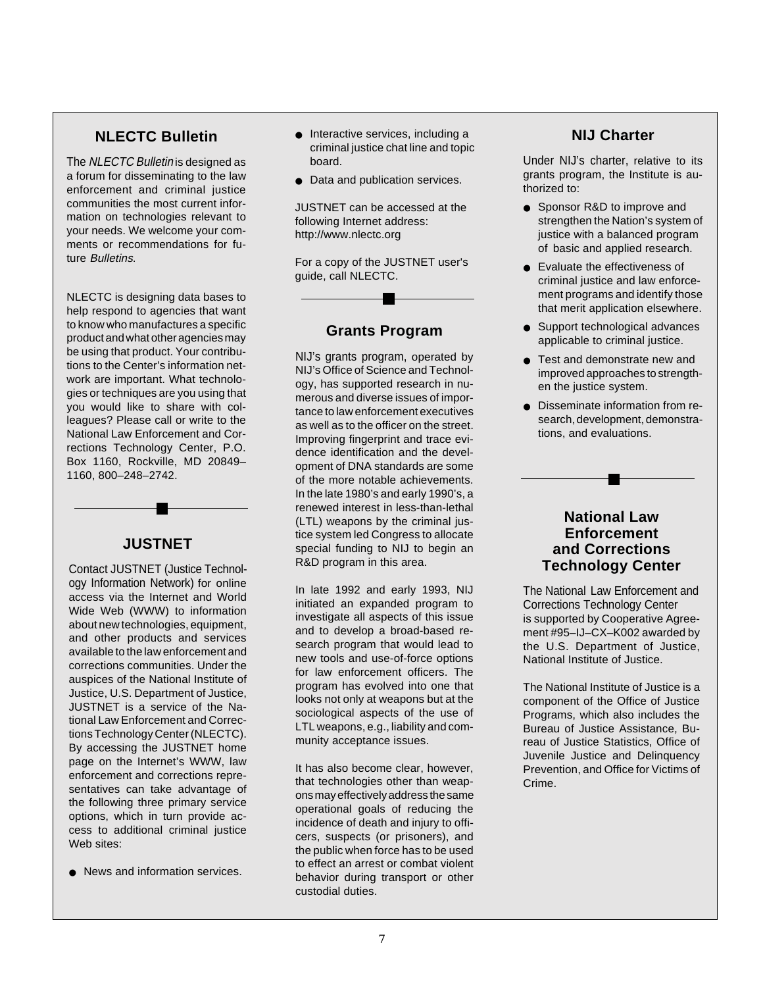## **NLECTC Bulletin**

The NLECTC Bulletin is designed as a forum for disseminating to the law enforcement and criminal justice communities the most current information on technologies relevant to your needs. We welcome your comments or recommendations for future Bulletins.

NLECTC is designing data bases to help respond to agencies that want to know who manufactures a specific product and what other agencies may be using that product. Your contributions to the Center's information network are important. What technologies or techniques are you using that you would like to share with colleagues? Please call or write to the National Law Enforcement and Corrections Technology Center, P.O. Box 1160, Rockville, MD 20849– 1160, 800–248–2742.

## **JUSTNET**

Contact JUSTNET (Justice Technology Information Network) for online access via the Internet and World Wide Web (WWW) to information about new technologies, equipment, and other products and services available to the law enforcement and corrections communities. Under the auspices of the National Institute of Justice, U.S. Department of Justice, JUSTNET is a service of the National Law Enforcement and Corrections Technology Center (NLECTC). By accessing the JUSTNET home page on the Internet's WWW, law enforcement and corrections representatives can take advantage of the following three primary service options, which in turn provide access to additional criminal justice Web sites:

● News and information services.

- Interactive services, including a criminal justice chat line and topic board.
- Data and publication services.

JUSTNET can be accessed at the following Internet address: http://www.nlectc.org

For a copy of the JUSTNET user's guide, call NLECTC.

#### **Grants Program**

NIJ's grants program, operated by NIJ's Office of Science and Technology, has supported research in numerous and diverse issues of importance to law enforcement executives as well as to the officer on the street. Improving fingerprint and trace evidence identification and the development of DNA standards are some of the more notable achievements. In the late 1980's and early 1990's, a renewed interest in less-than-lethal (LTL) weapons by the criminal justice system led Congress to allocate special funding to NIJ to begin an R&D program in this area.

In late 1992 and early 1993, NIJ initiated an expanded program to investigate all aspects of this issue and to develop a broad-based research program that would lead to new tools and use-of-force options for law enforcement officers. The program has evolved into one that looks not only at weapons but at the sociological aspects of the use of LTL weapons, e.g., liability and community acceptance issues.

It has also become clear, however, that technologies other than weapons may effectively address the same operational goals of reducing the incidence of death and injury to officers, suspects (or prisoners), and the public when force has to be used to effect an arrest or combat violent behavior during transport or other custodial duties.

#### **NIJ Charter**

Under NIJ's charter, relative to its grants program, the Institute is authorized to:

- Sponsor R&D to improve and strengthen the Nation's system of justice with a balanced program of basic and applied research.
- Evaluate the effectiveness of criminal justice and law enforcement programs and identify those that merit application elsewhere.
- Support technological advances applicable to criminal justice.
- Test and demonstrate new and improved approaches to strengthen the justice system.
- Disseminate information from research, development, demonstrations, and evaluations.

### **National Law Enforcement and Corrections Technology Center**

The National Law Enforcement and Corrections Technology Center is supported by Cooperative Agreement #95–IJ–CX–K002 awarded by the U.S. Department of Justice, National Institute of Justice.

The National Institute of Justice is a component of the Office of Justice Programs, which also includes the Bureau of Justice Assistance, Bureau of Justice Statistics, Office of Juvenile Justice and Delinquency Prevention, and Office for Victims of Crime.